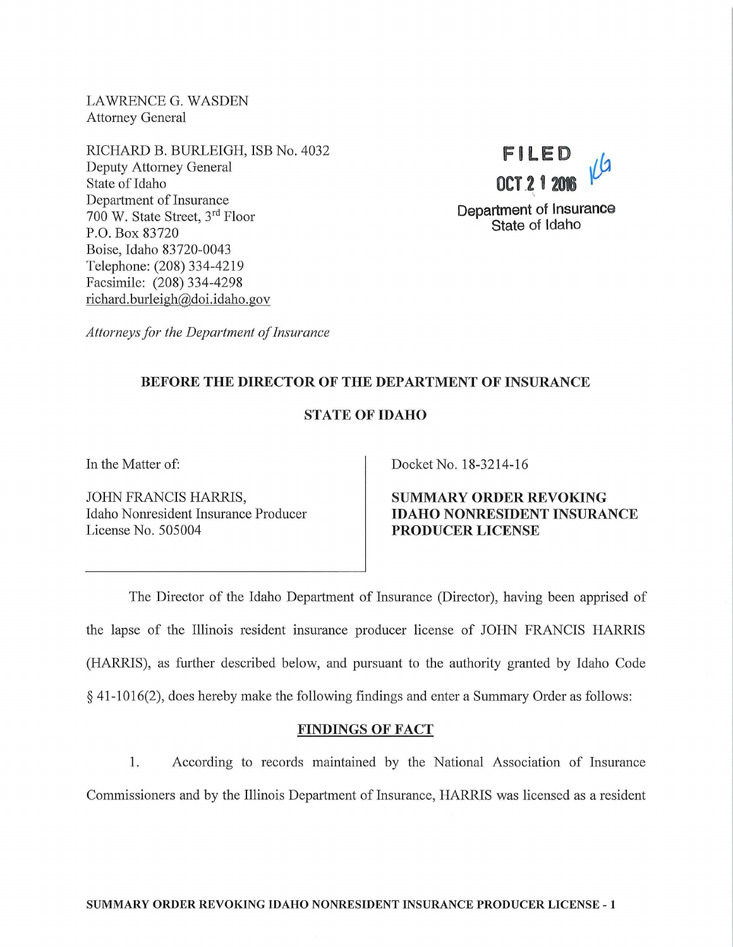LAWRENCE G. WASDEN Attorney General

RICHARD B. BURLEIGH, ISB No. 4032 Deputy Attorney General State of Idaho Department of Insurance 700 W. State Street, 3rd Floor P.O. Box 83720 Boise, Idaho 83720-0043 Telephone: (208) 334-4219 Facsimile: (208) 334-4298 richard. burleigh@doi. idaho. gov



*Attorneys for the Department of Insurance* 

# BEFORE THE DIRECTOR OF THE DEPARTMENT OF INSURANCE

# STATE OF IDAHO

In the Matter of:

JOHN FRANCIS HARRIS, Idaho Nomesident Insurance Producer License No. 505004

Docket No. 18-3214-16

SUMMARY ORDER REVOKING IDAHO NONRESIDENT INSURANCE PRODUCER LICENSE

The Director of the Idaho Department of Insurance (Director), having been apprised of the lapse of the Illinois resident insurance producer license of JOHN FRANCIS HARRJS (HARRJS), as further described below, and pursuant to the authority granted by Idaho Code  $§$  41-1016(2), does hereby make the following findings and enter a Summary Order as follows:

### FINDINGS OF FACT

1. According to records maintained by the National Association of Insurance Commissioners and by the Illinois Department of Insurance, HARRIS was licensed as a resident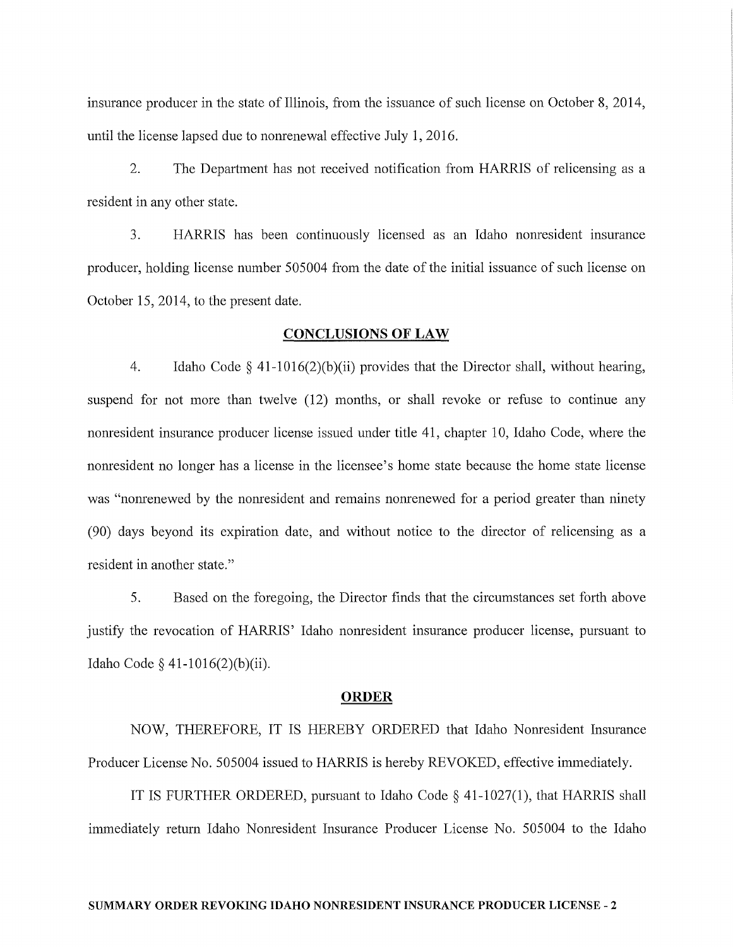insurance producer in the state of Illinois, from the issuance of such license on October 8, 2014, until the license lapsed due to nomenewal effective July 1, 2016.

2. The Department has not received notification from HARRIS of relicensing as a resident in any other state.

3. HARRIS has been continuously licensed as an Idaho nomesident insurance producer, holding license number 505004 from the date of the initial issuance of such license on October 15, 2014, to the present date.

### CONCLUSIONS OF LAW

4. Idaho Code  $\S$  41-1016(2)(b)(ii) provides that the Director shall, without hearing, suspend for not more than twelve (12) months, or shall revoke or refuse to continue any nomesident insurance producer license issued under title 41, chapter 10, Idaho Code, where the nomesident no longer has a license in the licensee's home state because the home state license was "nomenewed by the nomesident and remains nomenewed for a period greater than ninety (90) days beyond its expiration date, and without notice to the director of relicensing as a resident in another state."

5. Based on the foregoing, the Director finds that the circumstances set forth above justify the revocation of HARRIS' Idaho nomesident insurance producer license, pursuant to Idaho Code§ 41-1016(2)(b)(ii).

#### ORDER

NOW, THEREFORE, IT IS HEREBY ORDERED that Idaho Nomesident Insurance Producer License No. 505004 issued to HARRIS is hereby REVOKED, effective immediately.

IT IS FURTHER ORDERED, pursuant to Idaho Code§ 41-1027(1), that HARRIS shall immediately return Idaho Nomesident Insurance Producer License No. 505004 to the Idaho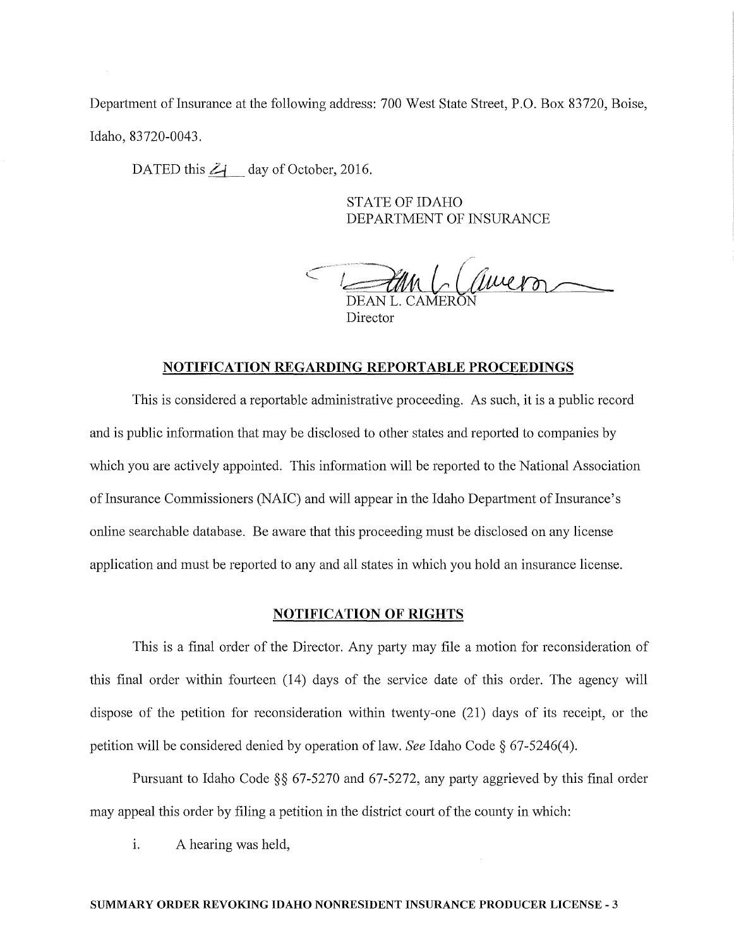Department of Insurance at the following address: 700 West State Street, P.O. Box 83720, Boise, Idaho, 83720-0043.

DATED this  $Z_1$  day of October, 2016.

STATE OF IDAHO DEPARTMENT OF INSURANCE

 $t$ DEAN L. CAMERO l~ *LfilPLJ!?n* ~ Director

### **NOTIFICATION REGARDING REPORTABLE PROCEEDINGS**

This is considered a reportable administrative proceeding. As such, it is a public record and is public information that may be disclosed to other states and reported to companies by which you are actively appointed. This information will be reported to the National Association of Insurance Commissioners (NAIC) and will appear in the Idaho Department of Insurance's online searchable database. Be aware that this proceeding must be disclosed on any license application and must be reported to any and all states in which you hold an insurance license.

### **NOTIFICATION OF RIGHTS**

This is a final order of the Director. Any party may file a motion for reconsideration of this final order within fourteen (14) days of the service date of this order. The agency will dispose of the petition for reconsideration within twenty-one (21) days of its receipt, or the petition will be considered denied by operation of law. *See* Idaho Code  $\S$  67-5246(4).

Pursuant to Idaho Code  $\S$ § 67-5270 and 67-5272, any party aggrieved by this final order may appeal this order by filing a petition in the district court of the county in which:

i. A hearing was held,